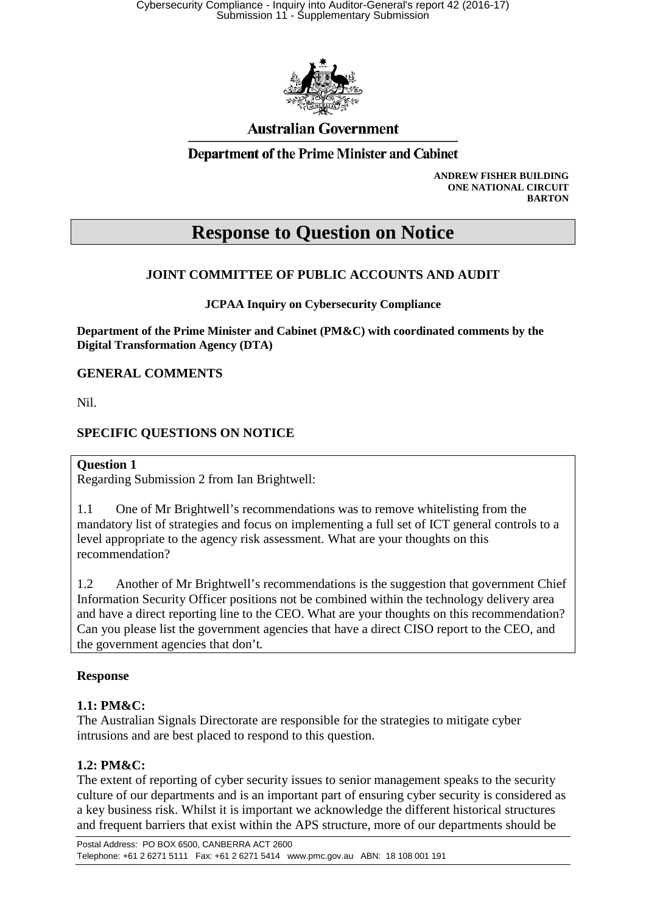

# **Australian Government**

## **Department of the Prime Minister and Cabinet**

**ANDREW FISHER BUILDING ONE NATIONAL CIRCUIT BARTON**

# **Response to Question on Notice**

## **JOINT COMMITTEE OF PUBLIC ACCOUNTS AND AUDIT**

**JCPAA Inquiry on Cybersecurity Compliance**

**Department of the Prime Minister and Cabinet (PM&C) with coordinated comments by the Digital Transformation Agency (DTA)**

**GENERAL COMMENTS**

Nil.

## **SPECIFIC QUESTIONS ON NOTICE**

#### **Question 1**

Regarding Submission 2 from Ian Brightwell:

1.1 One of Mr Brightwell's recommendations was to remove whitelisting from the mandatory list of strategies and focus on implementing a full set of ICT general controls to a level appropriate to the agency risk assessment. What are your thoughts on this recommendation?

1.2 Another of Mr Brightwell's recommendations is the suggestion that government Chief Information Security Officer positions not be combined within the technology delivery area and have a direct reporting line to the CEO. What are your thoughts on this recommendation? Can you please list the government agencies that have a direct CISO report to the CEO, and the government agencies that don't*.* 

#### **Response**

#### **1.1: PM&C:**

The Australian Signals Directorate are responsible for the strategies to mitigate cyber intrusions and are best placed to respond to this question.

#### **1.2: PM&C:**

The extent of reporting of cyber security issues to senior management speaks to the security culture of our departments and is an important part of ensuring cyber security is considered as a key business risk. Whilst it is important we acknowledge the different historical structures and frequent barriers that exist within the APS structure, more of our departments should be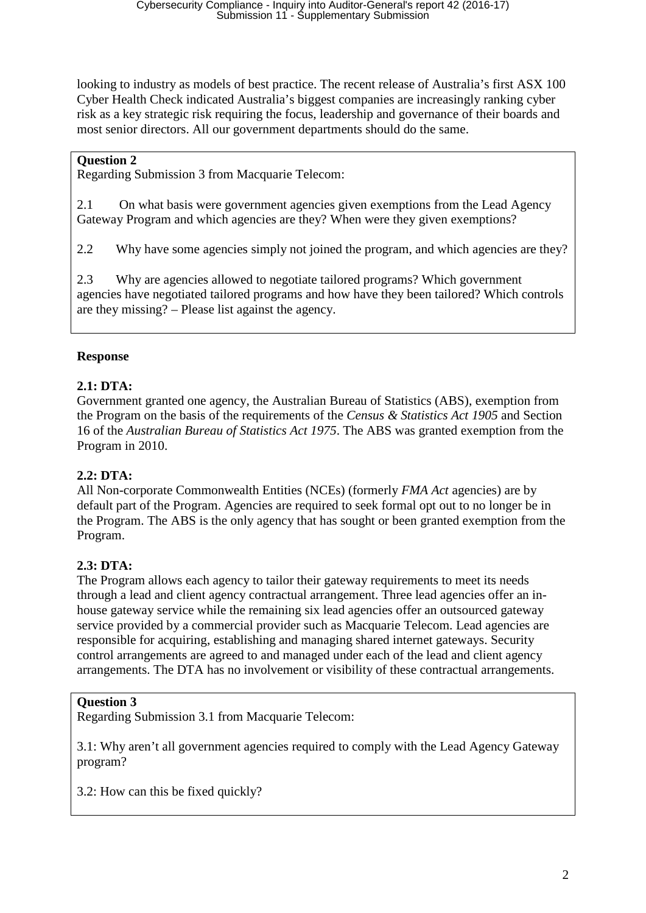looking to industry as models of best practice. The recent release of Australia's first ASX 100 Cyber Health Check indicated Australia's biggest companies are increasingly ranking cyber risk as a key strategic risk requiring the focus, leadership and governance of their boards and most senior directors. All our government departments should do the same.

## **Question 2**

Regarding Submission 3 from Macquarie Telecom:

2.1 On what basis were government agencies given exemptions from the Lead Agency Gateway Program and which agencies are they? When were they given exemptions?

2.2 Why have some agencies simply not joined the program, and which agencies are they?

2.3 Why are agencies allowed to negotiate tailored programs? Which government agencies have negotiated tailored programs and how have they been tailored? Which controls are they missing? – Please list against the agency.

## **Response**

## **2.1: DTA:**

Government granted one agency, the Australian Bureau of Statistics (ABS), exemption from the Program on the basis of the requirements of the *Census & Statistics Act 1905* and Section 16 of the *Australian Bureau of Statistics Act 1975*. The ABS was granted exemption from the Program in 2010.

#### **2.2: DTA:**

All Non-corporate Commonwealth Entities (NCEs) (formerly *FMA Act* agencies) are by default part of the Program. Agencies are required to seek formal opt out to no longer be in the Program. The ABS is the only agency that has sought or been granted exemption from the Program.

## **2.3: DTA:**

The Program allows each agency to tailor their gateway requirements to meet its needs through a lead and client agency contractual arrangement. Three lead agencies offer an inhouse gateway service while the remaining six lead agencies offer an outsourced gateway service provided by a commercial provider such as Macquarie Telecom. Lead agencies are responsible for acquiring, establishing and managing shared internet gateways. Security control arrangements are agreed to and managed under each of the lead and client agency arrangements. The DTA has no involvement or visibility of these contractual arrangements.

#### **Question 3**

Regarding Submission 3.1 from Macquarie Telecom:

3.1: Why aren't all government agencies required to comply with the Lead Agency Gateway program?

3.2: How can this be fixed quickly?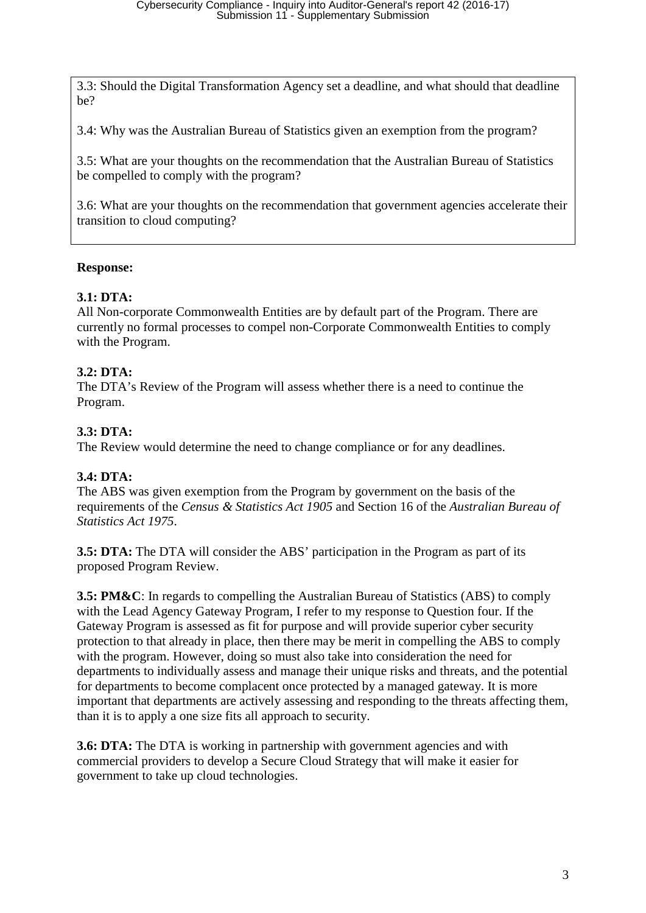3.3: Should the Digital Transformation Agency set a deadline, and what should that deadline be?

3.4: Why was the Australian Bureau of Statistics given an exemption from the program?

3.5: What are your thoughts on the recommendation that the Australian Bureau of Statistics be compelled to comply with the program?

3.6: What are your thoughts on the recommendation that government agencies accelerate their transition to cloud computing?

## **Response:**

## **3.1: DTA:**

All Non-corporate Commonwealth Entities are by default part of the Program. There are currently no formal processes to compel non-Corporate Commonwealth Entities to comply with the Program.

## **3.2: DTA:**

The DTA's Review of the Program will assess whether there is a need to continue the Program.

## **3.3: DTA:**

The Review would determine the need to change compliance or for any deadlines.

## **3.4: DTA:**

The ABS was given exemption from the Program by government on the basis of the requirements of the *Census & Statistics Act 1905* and Section 16 of the *Australian Bureau of Statistics Act 1975*.

**3.5: DTA:** The DTA will consider the ABS' participation in the Program as part of its proposed Program Review.

**3.5: PM&C**: In regards to compelling the Australian Bureau of Statistics (ABS) to comply with the Lead Agency Gateway Program, I refer to my response to Question four. If the Gateway Program is assessed as fit for purpose and will provide superior cyber security protection to that already in place, then there may be merit in compelling the ABS to comply with the program. However, doing so must also take into consideration the need for departments to individually assess and manage their unique risks and threats, and the potential for departments to become complacent once protected by a managed gateway. It is more important that departments are actively assessing and responding to the threats affecting them, than it is to apply a one size fits all approach to security.

**3.6: DTA:** The DTA is working in partnership with government agencies and with commercial providers to develop a Secure Cloud Strategy that will make it easier for government to take up cloud technologies.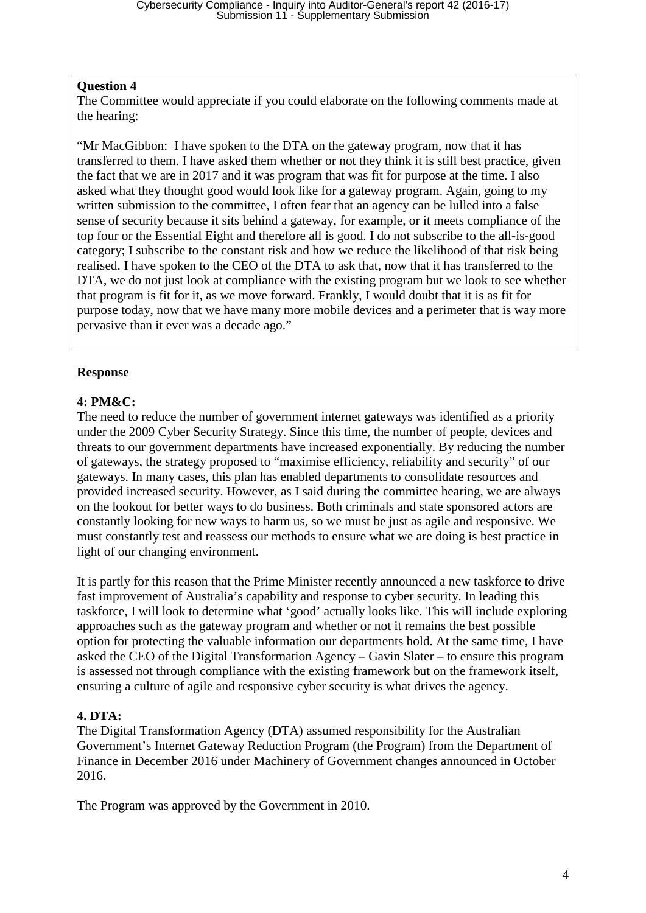#### **Question 4**

The Committee would appreciate if you could elaborate on the following comments made at the hearing:

"Mr MacGibbon: I have spoken to the DTA on the gateway program, now that it has transferred to them. I have asked them whether or not they think it is still best practice, given the fact that we are in 2017 and it was program that was fit for purpose at the time. I also asked what they thought good would look like for a gateway program. Again, going to my written submission to the committee, I often fear that an agency can be lulled into a false sense of security because it sits behind a gateway, for example, or it meets compliance of the top four or the Essential Eight and therefore all is good. I do not subscribe to the all-is-good category; I subscribe to the constant risk and how we reduce the likelihood of that risk being realised. I have spoken to the CEO of the DTA to ask that, now that it has transferred to the DTA, we do not just look at compliance with the existing program but we look to see whether that program is fit for it, as we move forward. Frankly, I would doubt that it is as fit for purpose today, now that we have many more mobile devices and a perimeter that is way more pervasive than it ever was a decade ago."

## **Response**

## **4: PM&C:**

The need to reduce the number of government internet gateways was identified as a priority under the 2009 Cyber Security Strategy. Since this time, the number of people, devices and threats to our government departments have increased exponentially. By reducing the number of gateways, the strategy proposed to "maximise efficiency, reliability and security" of our gateways. In many cases, this plan has enabled departments to consolidate resources and provided increased security. However, as I said during the committee hearing, we are always on the lookout for better ways to do business. Both criminals and state sponsored actors are constantly looking for new ways to harm us, so we must be just as agile and responsive. We must constantly test and reassess our methods to ensure what we are doing is best practice in light of our changing environment.

It is partly for this reason that the Prime Minister recently announced a new taskforce to drive fast improvement of Australia's capability and response to cyber security. In leading this taskforce, I will look to determine what 'good' actually looks like. This will include exploring approaches such as the gateway program and whether or not it remains the best possible option for protecting the valuable information our departments hold. At the same time, I have asked the CEO of the Digital Transformation Agency – Gavin Slater – to ensure this program is assessed not through compliance with the existing framework but on the framework itself, ensuring a culture of agile and responsive cyber security is what drives the agency.

## **4. DTA:**

The Digital Transformation Agency (DTA) assumed responsibility for the Australian Government's Internet Gateway Reduction Program (the Program) from the Department of Finance in December 2016 under Machinery of Government changes announced in October 2016.

The Program was approved by the Government in 2010.